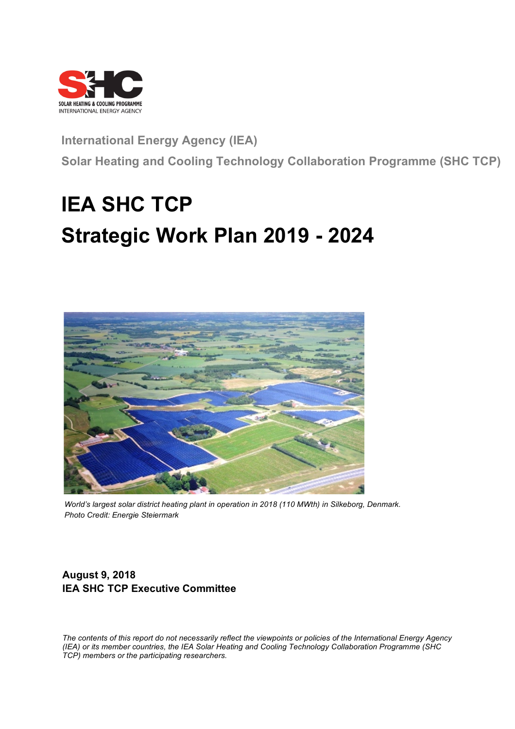

# **International Energy Agency (IEA) Solar Heating and Cooling Technology Collaboration Programme (SHC TCP)**

# **IEA SHC TCP Strategic Work Plan 2019 - 2024**



*World's largest solar district heating plant in operation in 2018 (110 MWth) in Silkeborg, Denmark. Photo Credit: Energie Steiermark*

## **August 9, 2018 IEA SHC TCP Executive Committee**

*The contents of this report do not necessarily reflect the viewpoints or policies of the International Energy Agency (IEA) or its member countries, the IEA Solar Heating and Cooling Technology Collaboration Programme (SHC TCP) members or the participating researchers.*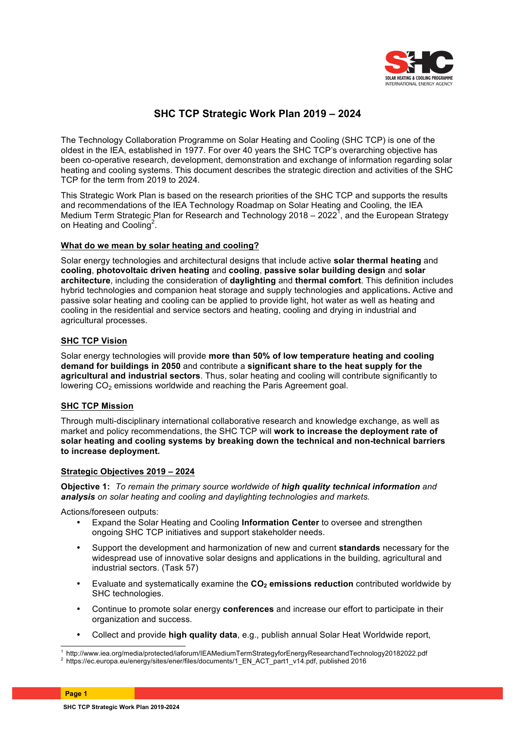

### **SHC TCP Strategic Work Plan 2019 – 2024**

The Technology Collaboration Programme on Solar Heating and Cooling (SHC TCP) is one of the oldest in the IEA, established in 1977. For over 40 years the SHC TCP's overarching objective has been co-operative research, development, demonstration and exchange of information regarding solar heating and cooling systems. This document describes the strategic direction and activities of the SHC TCP for the term from 2019 to 2024.

This Strategic Work Plan is based on the research priorities of the SHC TCP and supports the results and recommendations of the IEA Technology Roadmap on Solar Heating and Cooling, the IEA Medium Term Strategic Plan for Research and Technology 2018 – 2022<sup>1</sup>, and the European Strategy on Heating and Cooling<sup>2</sup>.

#### **What do we mean by solar heating and cooling?**

Solar energy technologies and architectural designs that include active **solar thermal heating** and **cooling**, **photovoltaic driven heating** and **cooling**, **passive solar building design** and **solar architecture**, including the consideration of **daylighting** and **thermal comfort**. This definition includes hybrid technologies and companion heat storage and supply technologies and applications**.** Active and passive solar heating and cooling can be applied to provide light, hot water as well as heating and cooling in the residential and service sectors and heating, cooling and drying in industrial and agricultural processes.

#### **SHC TCP Vision**

Solar energy technologies will provide **more than 50% of low temperature heating and cooling demand for buildings in 2050** and contribute a **significant share to the heat supply for the agricultural and industrial sectors**. Thus, solar heating and cooling will contribute significantly to lowering CO<sub>2</sub> emissions worldwide and reaching the Paris Agreement goal.

#### **SHC TCP Mission**

Through multi-disciplinary international collaborative research and knowledge exchange, as well as market and policy recommendations, the SHC TCP will **work to increase the deployment rate of solar heating and cooling systems by breaking down the technical and non-technical barriers to increase deployment.**

#### **Strategic Objectives 2019 – 2024**

**Objective 1:** *To remain the primary source worldwide of high quality technical information and analysis on solar heating and cooling and daylighting technologies and markets.*

Actions/foreseen outputs:

- Expand the Solar Heating and Cooling **Information Center** to oversee and strengthen ongoing SHC TCP initiatives and support stakeholder needs.
- Support the development and harmonization of new and current **standards** necessary for the widespread use of innovative solar designs and applications in the building, agricultural and industrial sectors. (Task 57)
- Evaluate and systematically examine the CO<sub>2</sub> emissions reduction contributed worldwide by SHC technologies.
- Continue to promote solar energy **conferences** and increase our effort to participate in their organization and success.
- Collect and provide **high quality data**, e.g., publish annual Solar Heat Worldwide report,

 <sup>1</sup> http://www.iea.org/media/protected/iaforum/IEAMediumTermStrategyforEnergyResearchandTechnology20182022.pdf <sup>2</sup> https://ec.europa.eu/energy/sites/ener/files/documents/1\_EN\_ACT\_part1\_v14.pdf, published 2016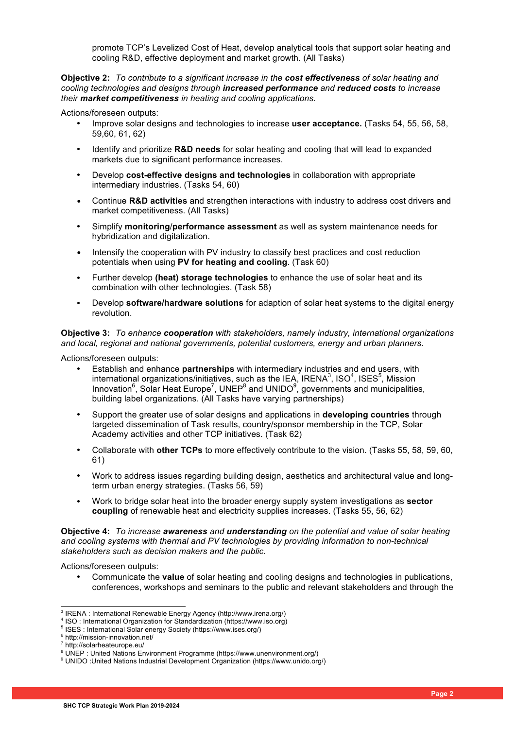promote TCP's Levelized Cost of Heat, develop analytical tools that support solar heating and cooling R&D, effective deployment and market growth. (All Tasks)

**Objective 2:** *To contribute to a significant increase in the cost effectiveness of solar heating and cooling technologies and designs through increased performance and reduced costs to increase their market competitiveness in heating and cooling applications.*

Actions/foreseen outputs:

- Improve solar designs and technologies to increase **user acceptance.** (Tasks 54, 55, 56, 58, 59,60, 61, 62)
- Identify and prioritize **R&D needs** for solar heating and cooling that will lead to expanded markets due to significant performance increases.
- Develop **cost-effective designs and technologies** in collaboration with appropriate intermediary industries. (Tasks 54, 60)
- Continue **R&D activities** and strengthen interactions with industry to address cost drivers and market competitiveness. (All Tasks)
- Simplify **monitoring**/**performance assessment** as well as system maintenance needs for hybridization and digitalization.
- Intensify the cooperation with PV industry to classify best practices and cost reduction potentials when using **PV for heating and cooling**. (Task 60)
- Further develop **(heat) storage technologies** to enhance the use of solar heat and its combination with other technologies. (Task 58)
- Develop **software/hardware solutions** for adaption of solar heat systems to the digital energy revolution.

**Objective 3:** *To enhance cooperation with stakeholders, namely industry, international organizations and local, regional and national governments, potential customers, energy and urban planners.*

Actions/foreseen outputs:

- Establish and enhance **partnerships** with intermediary industries and end users, with international organizations/initiatives, such as the IEA, IRENA<sup>3</sup>, ISO<sup>4</sup>, ISES<sup>5</sup>, Mission Innovation<sup>6</sup>, Solar Heat Europe<sup>7</sup>, UNEP<sup>8</sup> and UNIDO<sup>9</sup>, governments and municipalities, building label organizations. (All Tasks have varying partnerships)
- Support the greater use of solar designs and applications in **developing countries** through targeted dissemination of Task results, country/sponsor membership in the TCP, Solar Academy activities and other TCP initiatives. (Task 62)
- Collaborate with **other TCPs** to more effectively contribute to the vision. (Tasks 55, 58, 59, 60, 61)
- Work to address issues regarding building design, aesthetics and architectural value and longterm urban energy strategies. (Tasks 56, 59)
- Work to bridge solar heat into the broader energy supply system investigations as **sector coupling** of renewable heat and electricity supplies increases. (Tasks 55, 56, 62)

**Objective 4:** *To increase awareness and understanding on the potential and value of solar heating and cooling systems with thermal and PV technologies by providing information to non-technical stakeholders such as decision makers and the public.* 

Actions/foreseen outputs:

• Communicate the **value** of solar heating and cooling designs and technologies in publications, conferences, workshops and seminars to the public and relevant stakeholders and through the

 <sup>3</sup> IRENA : International Renewable Energy Agency (http://www.irena.org/)

<sup>4</sup> ISO : International Organization for Standardization (https://www.iso.org)

<sup>5</sup> ISES : International Solar energy Society (https://www.ises.org/)

<sup>6</sup> http://mission-innovation.net/

<sup>7</sup> http://solarheateurope.eu/

<sup>8</sup> UNEP : United Nations Environment Programme (https://www.unenvironment.org/)

<sup>9</sup> UNIDO :United Nations Industrial Development Organization (https://www.unido.org/)